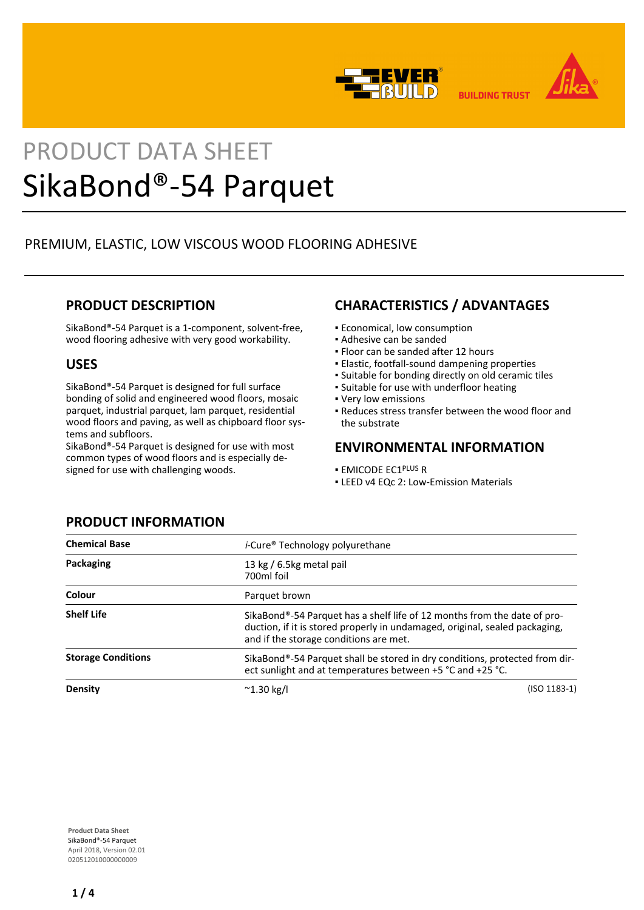



**BUILDING TRUST** 

# PRODUCT DATA SHEET SikaBond®-54 Parquet

# PREMIUM, ELASTIC, LOW VISCOUS WOOD FLOORING ADHESIVE

## **PRODUCT DESCRIPTION**

SikaBond®-54 Parquet is a 1-component, solvent-free, wood flooring adhesive with very good workability.

## **USES**

SikaBond®-54 Parquet is designed for full surface bonding of solid and engineered wood floors, mosaic parquet, industrial parquet, lam parquet, residential wood floors and paving, as well as chipboard floor systems and subfloors.

SikaBond®-54 Parquet is designed for use with most common types of wood floors and is especially designed for use with challenging woods.

## **CHARACTERISTICS / ADVANTAGES**

- Economical, low consumption
- Adhesive can be sanded
- Floor can be sanded after 12 hours
- Elastic, footfall-sound dampening properties
- Suitable for bonding directly on old ceramic tiles
- **.** Suitable for use with underfloor heating
- Very low emissions
- Reduces stress transfer between the wood floor and the substrate

## **ENVIRONMENTAL INFORMATION**

- EMICODE EC1PLUS R
- **ELEED v4 EQc 2: Low-Emission Materials**

| <b>Chemical Base</b>      | <i>i</i> -Cure <sup>®</sup> Technology polyurethane                                                                                                                                               |  |  |
|---------------------------|---------------------------------------------------------------------------------------------------------------------------------------------------------------------------------------------------|--|--|
| Packaging                 | 13 kg / 6.5kg metal pail<br>700ml foil                                                                                                                                                            |  |  |
| Colour                    | Parquet brown                                                                                                                                                                                     |  |  |
| <b>Shelf Life</b>         | SikaBond®-54 Parquet has a shelf life of 12 months from the date of pro-<br>duction, if it is stored properly in undamaged, original, sealed packaging,<br>and if the storage conditions are met. |  |  |
| <b>Storage Conditions</b> | SikaBond®-54 Parquet shall be stored in dry conditions, protected from dir-<br>ect sunlight and at temperatures between +5 °C and +25 °C.                                                         |  |  |
| Density                   | $(ISO 1183-1)$<br>$^{\sim}$ 1.30 kg/l                                                                                                                                                             |  |  |

## **PRODUCT INFORMATION**

**Product Data Sheet** SikaBond®-54 Parquet April 2018, Version 02.01 020512010000000009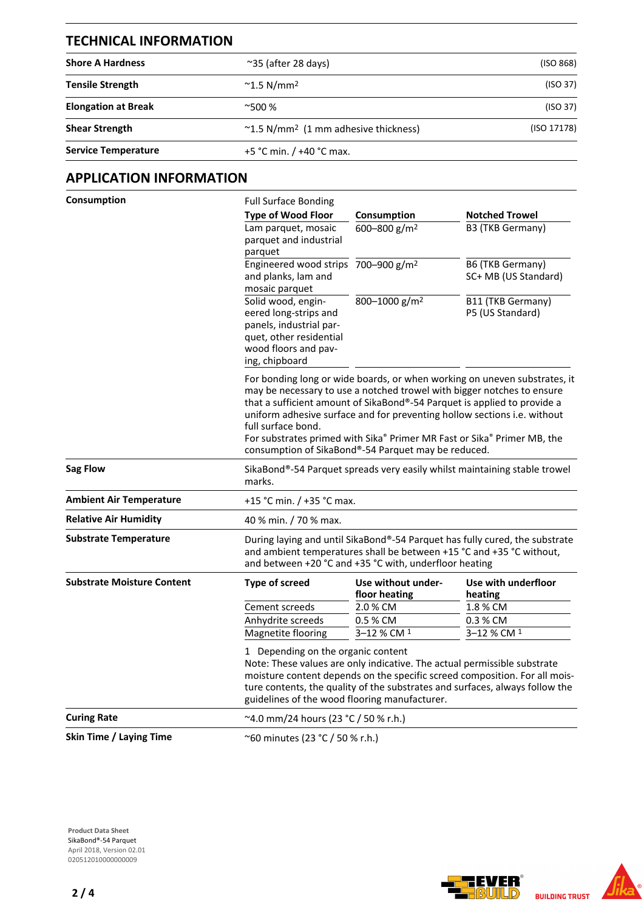| <b>TECHNICAL INFORMATION</b> |                                                        |             |  |
|------------------------------|--------------------------------------------------------|-------------|--|
| <b>Shore A Hardness</b>      | $\approx$ 35 (after 28 days)                           | (ISO 868)   |  |
| <b>Tensile Strength</b>      | $^{\sim}$ 1.5 N/mm <sup>2</sup>                        | (ISO 37)    |  |
| <b>Elongation at Break</b>   | $^{\sim}500\%$                                         | (ISO 37)    |  |
| <b>Shear Strength</b>        | $\sim$ 1.5 N/mm <sup>2</sup> (1 mm adhesive thickness) | (ISO 17178) |  |
| <b>Service Temperature</b>   | +5 °C min. / +40 °C max.                               |             |  |

# **APPLICATION INFORMATION**

| Consumption                       | <b>Full Surface Bonding</b>                                                                                                                                                                                                                                                                                                                                                                                                                                         |                                                                                                                                                                                                               |                                          |  |  |  |
|-----------------------------------|---------------------------------------------------------------------------------------------------------------------------------------------------------------------------------------------------------------------------------------------------------------------------------------------------------------------------------------------------------------------------------------------------------------------------------------------------------------------|---------------------------------------------------------------------------------------------------------------------------------------------------------------------------------------------------------------|------------------------------------------|--|--|--|
|                                   | <b>Type of Wood Floor</b>                                                                                                                                                                                                                                                                                                                                                                                                                                           | Consumption                                                                                                                                                                                                   | <b>Notched Trowel</b>                    |  |  |  |
|                                   | Lam parquet, mosaic<br>parquet and industrial<br>parquet                                                                                                                                                                                                                                                                                                                                                                                                            | 600-800 g/m <sup>2</sup>                                                                                                                                                                                      | B3 (TKB Germany)                         |  |  |  |
|                                   | Engineered wood strips 700-900 g/m <sup>2</sup><br>and planks, lam and<br>mosaic parquet                                                                                                                                                                                                                                                                                                                                                                            |                                                                                                                                                                                                               | B6 (TKB Germany)<br>SC+ MB (US Standard) |  |  |  |
|                                   | Solid wood, engin-<br>eered long-strips and<br>panels, industrial par-<br>quet, other residential<br>wood floors and pav-<br>ing, chipboard                                                                                                                                                                                                                                                                                                                         | 800-1000 g/m <sup>2</sup>                                                                                                                                                                                     | B11 (TKB Germany)<br>P5 (US Standard)    |  |  |  |
|                                   | For bonding long or wide boards, or when working on uneven substrates, it<br>may be necessary to use a notched trowel with bigger notches to ensure<br>that a sufficient amount of SikaBond®-54 Parquet is applied to provide a<br>uniform adhesive surface and for preventing hollow sections i.e. without<br>full surface bond.<br>For substrates primed with Sika® Primer MR Fast or Sika® Primer MB, the<br>consumption of SikaBond®-54 Parquet may be reduced. |                                                                                                                                                                                                               |                                          |  |  |  |
| <b>Sag Flow</b>                   | marks.                                                                                                                                                                                                                                                                                                                                                                                                                                                              | SikaBond®-54 Parquet spreads very easily whilst maintaining stable trowel                                                                                                                                     |                                          |  |  |  |
| <b>Ambient Air Temperature</b>    |                                                                                                                                                                                                                                                                                                                                                                                                                                                                     | +15 °C min. / +35 °C max.                                                                                                                                                                                     |                                          |  |  |  |
| <b>Relative Air Humidity</b>      | 40 % min. / 70 % max.                                                                                                                                                                                                                                                                                                                                                                                                                                               |                                                                                                                                                                                                               |                                          |  |  |  |
| <b>Substrate Temperature</b>      |                                                                                                                                                                                                                                                                                                                                                                                                                                                                     | During laying and until SikaBond®-54 Parquet has fully cured, the substrate<br>and ambient temperatures shall be between +15 °C and +35 °C without,<br>and between +20 °C and +35 °C with, underfloor heating |                                          |  |  |  |
| <b>Substrate Moisture Content</b> | <b>Type of screed</b>                                                                                                                                                                                                                                                                                                                                                                                                                                               | Use without under-<br>floor heating                                                                                                                                                                           | Use with underfloor<br>heating           |  |  |  |
|                                   | Cement screeds                                                                                                                                                                                                                                                                                                                                                                                                                                                      | 2.0 % CM                                                                                                                                                                                                      | 1.8 % CM                                 |  |  |  |
|                                   | Anhydrite screeds                                                                                                                                                                                                                                                                                                                                                                                                                                                   | 0.5 % CM                                                                                                                                                                                                      | 0.3 % CM                                 |  |  |  |
|                                   | Magnetite flooring                                                                                                                                                                                                                                                                                                                                                                                                                                                  | 3–12 % CM <sup>1</sup>                                                                                                                                                                                        | 3-12 % CM 1                              |  |  |  |
|                                   | 1 Depending on the organic content<br>Note: These values are only indicative. The actual permissible substrate<br>moisture content depends on the specific screed composition. For all mois-<br>ture contents, the quality of the substrates and surfaces, always follow the<br>guidelines of the wood flooring manufacturer.                                                                                                                                       |                                                                                                                                                                                                               |                                          |  |  |  |
| <b>Curing Rate</b>                |                                                                                                                                                                                                                                                                                                                                                                                                                                                                     | $^{\sim}$ 4.0 mm/24 hours (23 °C / 50 % r.h.)                                                                                                                                                                 |                                          |  |  |  |
| Skin Time / Laying Time           |                                                                                                                                                                                                                                                                                                                                                                                                                                                                     | ~60 minutes (23 °C / 50 % r.h.)                                                                                                                                                                               |                                          |  |  |  |

**Product Data Sheet** SikaBond®-54 Parquet April 2018, Version 02.01 020512010000000009

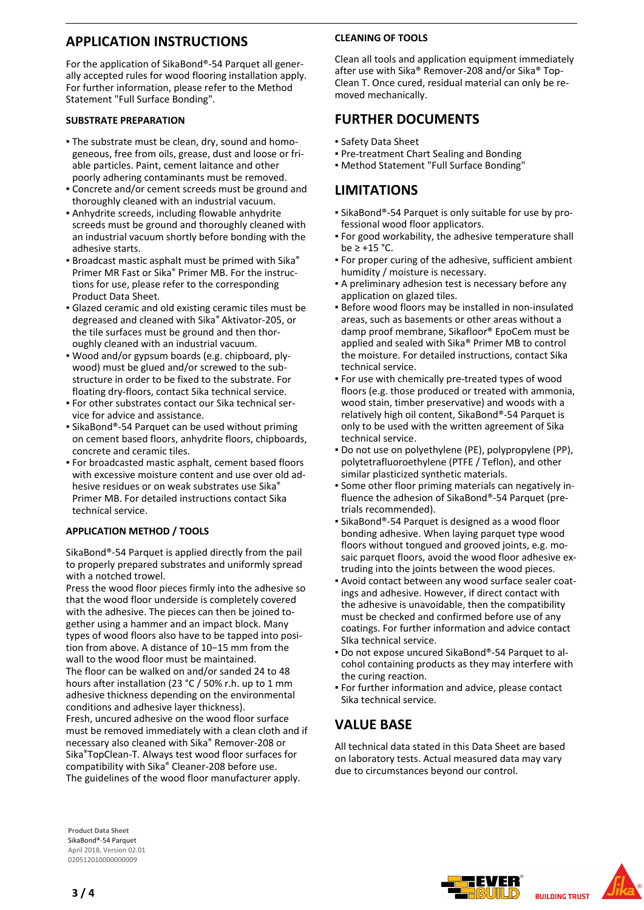## **APPLICATION INSTRUCTIONS**

For the application of SikaBond®-54 Parquet all generally accepted rules for wood flooring installation apply. For further information, please refer to the Method Statement "Full Surface Bonding".

#### **SUBSTRATE PREPARATION**

- The substrate must be clean, dry, sound and homo-▪ geneous, free from oils, grease, dust and loose or friable particles. Paint, cement laitance and other poorly adhering contaminants must be removed.
- Concrete and/or cement screeds must be ground and thoroughly cleaned with an industrial vacuum.
- Anhydrite screeds, including flowable anhydrite screeds must be ground and thoroughly cleaned with an industrial vacuum shortly before bonding with the adhesive starts.
- **Broadcast mastic asphalt must be primed with Sika®** Primer MR Fast or Sika® Primer MB. For the instructions for use, please refer to the corresponding Product Data Sheet.
- **Glazed ceramic and old existing ceramic tiles must be** degreased and cleaned with Sika® Aktivator-205, or the tile surfaces must be ground and then thoroughly cleaned with an industrial vacuum.
- Wood and/or gypsum boards (e.g. chipboard, ply-▪ wood) must be glued and/or screwed to the substructure in order to be fixed to the substrate. For floating dry-floors, contact Sika technical service.
- For other substrates contact our Sika technical ser-▪ vice for advice and assistance.
- SikaBond®-54 Parquet can be used without priming on cement based floors, anhydrite floors, chipboards, concrete and ceramic tiles.
- For broadcasted mastic asphalt, cement based floors with excessive moisture content and use over old adhesive residues or on weak substrates use Sika® Primer MB. For detailed instructions contact Sika technical service.

#### **APPLICATION METHOD / TOOLS**

SikaBond®-54 Parquet is applied directly from the pail to properly prepared substrates and uniformly spread with a notched trowel.

Press the wood floor pieces firmly into the adhesive so that the wood floor underside is completely covered with the adhesive. The pieces can then be joined together using a hammer and an impact block. Many types of wood floors also have to be tapped into position from above. A distance of 10−15 mm from the wall to the wood floor must be maintained. The floor can be walked on and/or sanded 24 to 48 hours after installation (23 °C / 50% r.h. up to 1 mm adhesive thickness depending on the environmental conditions and adhesive layer thickness). Fresh, uncured adhesive on the wood floor surface must be removed immediately with a clean cloth and if necessary also cleaned with Sika® Remover-208 or Sika®TopClean-T. Always test wood floor surfaces for compatibility with Sika® Cleaner-208 before use. The guidelines of the wood floor manufacturer apply.

#### **CLEANING OF TOOLS**

Clean all tools and application equipment immediately after use with Sika® Remover-208 and/or Sika® Top-Clean T. Once cured, residual material can only be removed mechanically.

## **FURTHER DOCUMENTS**

- Safety Data Sheet
- Pre-treatment Chart Sealing and Bonding
- Method Statement "Full Surface Bonding"

## **LIMITATIONS**

- SikaBond®-54 Parquet is only suitable for use by pro-▪ fessional wood floor applicators.
- **For good workability, the adhesive temperature shall** be ≥ +15 °C.
- For proper curing of the adhesive, sufficient ambient humidity / moisture is necessary.
- A preliminary adhesion test is necessary before any application on glazed tiles.
- **Before wood floors may be installed in non-insulated** areas, such as basements or other areas without a damp proof membrane, Sikafloor® EpoCem must be applied and sealed with Sika® Primer MB to control the moisture. For detailed instructions, contact Sika technical service.
- For use with chemically pre-treated types of wood floors (e.g. those produced or treated with ammonia, wood stain, timber preservative) and woods with a relatively high oil content, SikaBond®-54 Parquet is only to be used with the written agreement of Sika technical service.
- Do not use on polyethylene (PE), polypropylene (PP), polytetrafluoroethylene (PTFE / Teflon), and other similar plasticized synthetic materials.
- Some other floor priming materials can negatively in-▪ fluence the adhesion of SikaBond®-54 Parquet (pretrials recommended).
- SikaBond®-54 Parquet is designed as a wood floor bonding adhesive. When laying parquet type wood floors without tongued and grooved joints, e.g. mosaic parquet floors, avoid the wood floor adhesive extruding into the joints between the wood pieces.
- Avoid contact between any wood surface sealer coat-▪ ings and adhesive. However, if direct contact with the adhesive is unavoidable, then the compatibility must be checked and confirmed before use of any coatings. For further information and advice contact SIka technical service.
- Do not expose uncured SikaBond®-54 Parquet to alcohol containing products as they may interfere with the curing reaction.
- **For further information and advice, please contact** Sika technical service.

## **VALUE BASE**

All technical data stated in this Data Sheet are based on laboratory tests. Actual measured data may vary due to circumstances beyond our control.